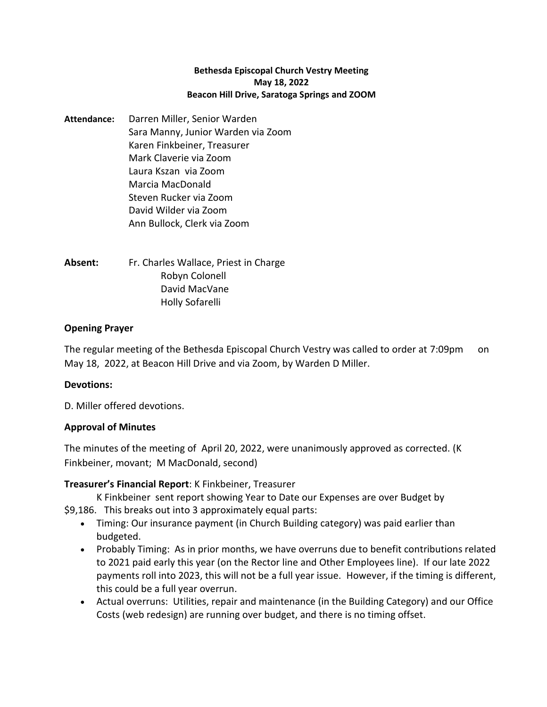#### **Bethesda Episcopal Church Vestry Meeting May 18, 2022 Beacon Hill Drive, Saratoga Springs and ZOOM**

**Attendance:** Darren Miller, Senior Warden Sara Manny, Junior Warden via Zoom Karen Finkbeiner, Treasurer Mark Claverie via Zoom Laura Kszan via Zoom Marcia MacDonald Steven Rucker via Zoom David Wilder via Zoom Ann Bullock, Clerk via Zoom

**Absent:** Fr. Charles Wallace, Priest in Charge Robyn Colonell David MacVane Holly Sofarelli

## **Opening Prayer**

The regular meeting of the Bethesda Episcopal Church Vestry was called to order at 7:09pm on May 18, 2022, at Beacon Hill Drive and via Zoom, by Warden D Miller.

### **Devotions:**

D. Miller offered devotions.

# **Approval of Minutes**

The minutes of the meeting of April 20, 2022, were unanimously approved as corrected. (K Finkbeiner, movant; M MacDonald, second)

# **Treasurer's Financial Report**: K Finkbeiner, Treasurer

K Finkbeiner sent report showing Year to Date our Expenses are over Budget by

- \$9,186. This breaks out into 3 approximately equal parts:
	- Timing: Our insurance payment (in Church Building category) was paid earlier than budgeted.
	- Probably Timing: As in prior months, we have overruns due to benefit contributions related to 2021 paid early this year (on the Rector line and Other Employees line). If our late 2022 payments roll into 2023, this will not be a full year issue. However, if the timing is different, this could be a full year overrun.
	- Actual overruns: Utilities, repair and maintenance (in the Building Category) and our Office Costs (web redesign) are running over budget, and there is no timing offset.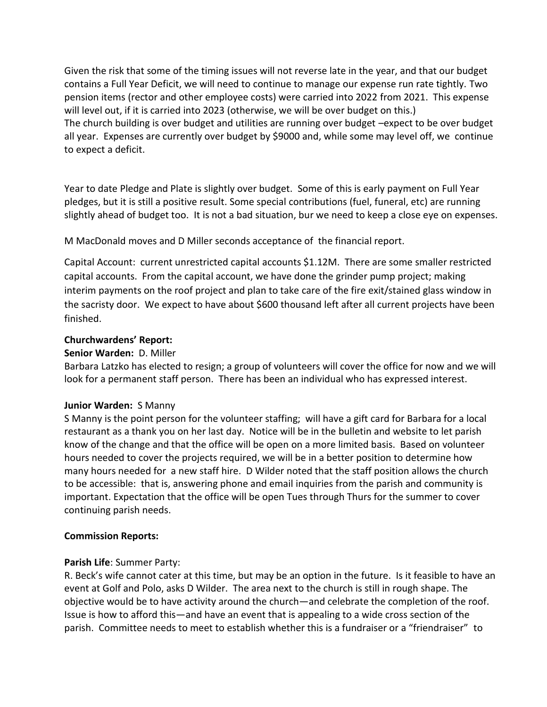Given the risk that some of the timing issues will not reverse late in the year, and that our budget contains a Full Year Deficit, we will need to continue to manage our expense run rate tightly. Two pension items (rector and other employee costs) were carried into 2022 from 2021. This expense will level out, if it is carried into 2023 (otherwise, we will be over budget on this.) The church building is over budget and utilities are running over budget –expect to be over budget all year. Expenses are currently over budget by \$9000 and, while some may level off, we continue to expect a deficit.

Year to date Pledge and Plate is slightly over budget. Some of this is early payment on Full Year pledges, but it is still a positive result. Some special contributions (fuel, funeral, etc) are running slightly ahead of budget too. It is not a bad situation, bur we need to keep a close eye on expenses.

M MacDonald moves and D Miller seconds acceptance of the financial report.

Capital Account: current unrestricted capital accounts \$1.12M. There are some smaller restricted capital accounts. From the capital account, we have done the grinder pump project; making interim payments on the roof project and plan to take care of the fire exit/stained glass window in the sacristy door. We expect to have about \$600 thousand left after all current projects have been finished.

## **Churchwardens' Report:**

## **Senior Warden:** D. Miller

Barbara Latzko has elected to resign; a group of volunteers will cover the office for now and we will look for a permanent staff person. There has been an individual who has expressed interest.

### **Junior Warden:** S Manny

S Manny is the point person for the volunteer staffing; will have a gift card for Barbara for a local restaurant as a thank you on her last day. Notice will be in the bulletin and website to let parish know of the change and that the office will be open on a more limited basis. Based on volunteer hours needed to cover the projects required, we will be in a better position to determine how many hours needed for a new staff hire. D Wilder noted that the staff position allows the church to be accessible: that is, answering phone and email inquiries from the parish and community is important. Expectation that the office will be open Tues through Thurs for the summer to cover continuing parish needs.

### **Commission Reports:**

# **Parish Life**: Summer Party:

R. Beck's wife cannot cater at this time, but may be an option in the future. Is it feasible to have an event at Golf and Polo, asks D Wilder. The area next to the church is still in rough shape. The objective would be to have activity around the church—and celebrate the completion of the roof. Issue is how to afford this—and have an event that is appealing to a wide cross section of the parish. Committee needs to meet to establish whether this is a fundraiser or a "friendraiser" to